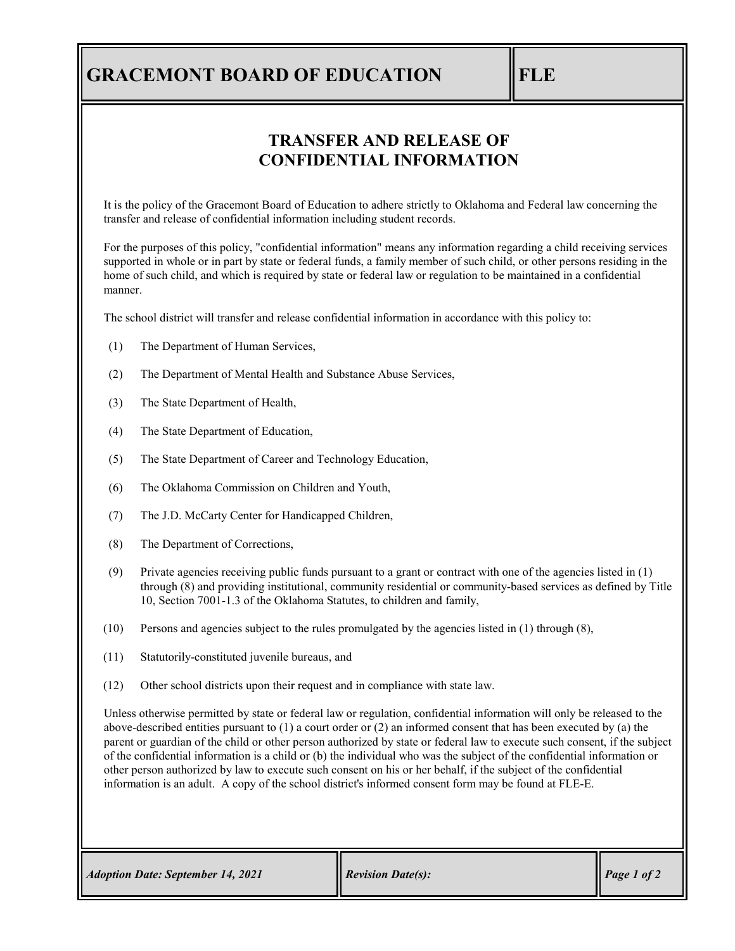### **GRACEMONT BOARD OF EDUCATION FLE**

#### **TRANSFER AND RELEASE OF CONFIDENTIAL INFORMATION**

It is the policy of the Gracemont Board of Education to adhere strictly to Oklahoma and Federal law concerning the transfer and release of confidential information including student records.

For the purposes of this policy, "confidential information" means any information regarding a child receiving services supported in whole or in part by state or federal funds, a family member of such child, or other persons residing in the home of such child, and which is required by state or federal law or regulation to be maintained in a confidential manner.

The school district will transfer and release confidential information in accordance with this policy to:

- (1) The Department of Human Services,
- (2) The Department of Mental Health and Substance Abuse Services,
- (3) The State Department of Health,
- (4) The State Department of Education,
- (5) The State Department of Career and Technology Education,
- (6) The Oklahoma Commission on Children and Youth,
- (7) The J.D. McCarty Center for Handicapped Children,
- (8) The Department of Corrections,
- (9) Private agencies receiving public funds pursuant to a grant or contract with one of the agencies listed in (1) through (8) and providing institutional, community residential or community-based services as defined by Title 10, Section 7001-1.3 of the Oklahoma Statutes, to children and family,
- (10) Persons and agencies subject to the rules promulgated by the agencies listed in (1) through (8),
- (11) Statutorily-constituted juvenile bureaus, and
- (12) Other school districts upon their request and in compliance with state law.

Unless otherwise permitted by state or federal law or regulation, confidential information will only be released to the above-described entities pursuant to (1) a court order or (2) an informed consent that has been executed by (a) the parent or guardian of the child or other person authorized by state or federal law to execute such consent, if the subject of the confidential information is a child or (b) the individual who was the subject of the confidential information or other person authorized by law to execute such consent on his or her behalf, if the subject of the confidential information is an adult. A copy of the school district's informed consent form may be found at FLE-E.